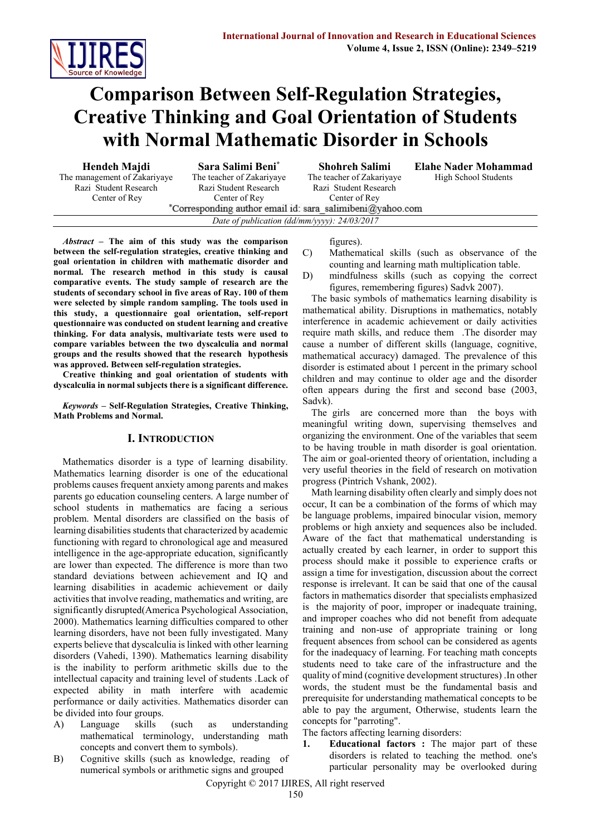

# **Comparison Between Self-Regulation Strategies, Creative Thinking and Goal Orientation of Students with Normal Mathematic Disorder in Schools**

**Hendeh Majdi**

The management of Zakariyaye Razi Student Research Center of Rey

**Sara Salimi Beni\*** The teacher of Zakariyaye Razi Student Research Center of Rey

**Shohreh Salimi** The teacher of Zakariyaye Razi Student Research Center of Rey

**Elahe Nader Mohammad** High School Students

\*Corresponding author email id: sara\_salimibeni@yahoo.com *Date of publication (dd/mm/yyyy): 24/03/2017*

*Abstract* **– The aim of this study was the comparison between the self-regulation strategies, creative thinking and goal orientation in children with mathematic disorder and normal. The research method in this study is causal comparative events. The study sample of research are the students of secondary school in five areas of Ray. 100 of them were selected by simple random sampling. The tools used in this study, a questionnaire goal orientation, self-report questionnaire was conducted on student learning and creative thinking. For data analysis, multivariate tests were used to compare variables between the two dyscalculia and normal groups and the results showed that the research hypothesis was approved. Between self-regulation strategies.**

**Creative thinking and goal orientation of students with dyscalculia in normal subjects there is a significant difference.**

*Keywords* **– Self-Regulation Strategies, Creative Thinking, Math Problems and Normal.**

### **I. INTRODUCTION**

Mathematics disorder is a type of learning disability. Mathematics learning disorder is one of the educational problems causes frequent anxiety among parents and makes parents go education counseling centers. A large number of school students in mathematics are facing a serious problem. Mental disorders are classified on the basis of learning disabilities students that characterized by academic functioning with regard to chronological age and measured intelligence in the age-appropriate education, significantly are lower than expected. The difference is more than two standard deviations between achievement and IQ and learning disabilities in academic achievement or daily activities that involve reading, mathematics and writing, are significantly disrupted(America Psychological Association, 2000). Mathematics learning difficulties compared to other learning disorders, have not been fully investigated. Many experts believe that dyscalculia is linked with other learning disorders (Vahedi, 1390). Mathematics learning disability is the inability to perform arithmetic skills due to the intellectual capacity and training level of students .Lack of expected ability in math interfere with academic performance or daily activities. Mathematics disorder can be divided into four groups.

- A) Language skills (such as understanding mathematical terminology, understanding math concepts and convert them to symbols).
- B) Cognitive skills (such as knowledge, reading of numerical symbols or arithmetic signs and grouped

#### figures).

- C) Mathematical skills (such as observance of the counting and learning math multiplication table.
- D) mindfulness skills (such as copying the correct figures, remembering figures) Sadvk 2007).

The basic symbols of mathematics learning disability is mathematical ability. Disruptions in mathematics, notably interference in academic achievement or daily activities require math skills, and reduce them .The disorder may cause a number of different skills (language, cognitive, mathematical accuracy) damaged. The prevalence of this disorder is estimated about 1 percent in the primary school children and may continue to older age and the disorder often appears during the first and second base (2003, Sadvk).

The girls are concerned more than the boys with meaningful writing down, supervising themselves and organizing the environment. One of the variables that seem to be having trouble in math disorder is goal orientation. The aim or goal-oriented theory of orientation, including a very useful theories in the field of research on motivation progress (Pintrich Vshank, 2002).

Math learning disability often clearly and simply does not occur, It can be a combination of the forms of which may be language problems, impaired binocular vision, memory problems or high anxiety and sequences also be included. Aware of the fact that mathematical understanding is actually created by each learner, in order to support this process should make it possible to experience crafts or assign a time for investigation, discussion about the correct response is irrelevant. It can be said that one of the causal factors in mathematics disorder that specialists emphasized is the majority of poor, improper or inadequate training, and improper coaches who did not benefit from adequate training and non-use of appropriate training or long frequent absences from school can be considered as agents for the inadequacy of learning. For teaching math concepts students need to take care of the infrastructure and the quality of mind (cognitive development structures) .In other words, the student must be the fundamental basis and prerequisite for understanding mathematical concepts to be able to pay the argument, Otherwise, students learn the concepts for "parroting".

The factors affecting learning disorders:

**1. Educational factors :** The major part of these disorders is related to teaching the method. one's particular personality may be overlooked during

Copyright © 2017 IJIRES, All right reserved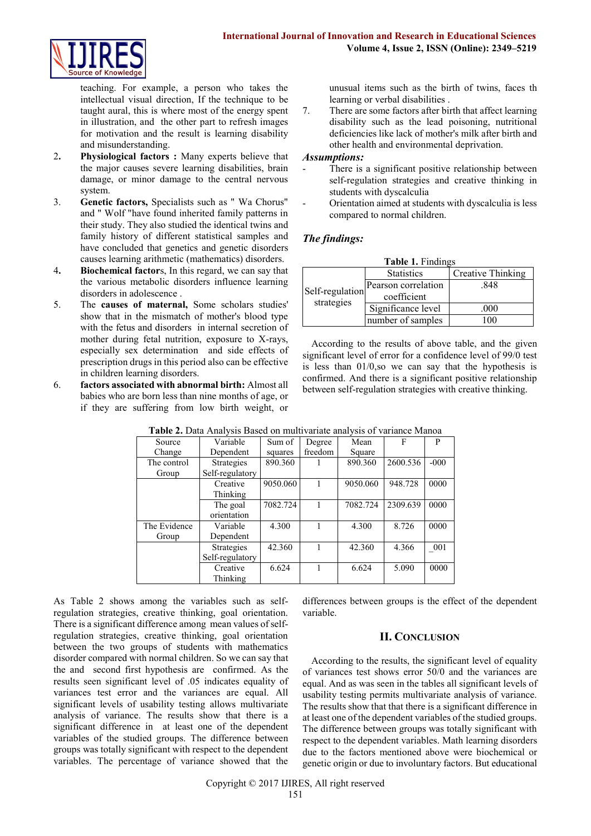

teaching. For example, a person who takes the intellectual visual direction, If the technique to be taught aural, this is where most of the energy spent in illustration, and the other part to refresh images for motivation and the result is learning disability and misunderstanding.

- 2**. Physiological factors :** Many experts believe that the major causes severe learning disabilities, brain damage, or minor damage to the central nervous system.
- 3. **Genetic factors,** Specialists such as " Wa Chorus" and " Wolf "have found inherited family patterns in their study. They also studied the identical twins and family history of different statistical samples and have concluded that genetics and genetic disorders causes learning arithmetic (mathematics) disorders.
- 4**. Biochemical factor**s, In this regard, we can say that the various metabolic disorders influence learning disorders in adolescence .
- 5. The **causes of maternal,** Some scholars studies' show that in the mismatch of mother's blood type with the fetus and disorders in internal secretion of mother during fetal nutrition, exposure to X-rays, especially sex determination and side effects of prescription drugs in this period also can be effective in children learning disorders.
- 6. **factors associated with abnormal birth:** Almost all babies who are born less than nine months of age, or if they are suffering from low birth weight, or

unusual items such as the birth of twins, faces th learning or verbal disabilities .

7. There are some factors after birth that affect learning disability such as the lead poisoning, nutritional deficiencies like lack of mother's milk after birth and other health and environmental deprivation.

#### *Assumptions:*

- There is a significant positive relationship between self-regulation strategies and creative thinking in students with dyscalculia
- Orientation aimed at students with dyscalculia is less compared to normal children.

## *The findings:*

| <b>Table 1. Findings</b>      |                     |                   |  |  |  |  |  |
|-------------------------------|---------------------|-------------------|--|--|--|--|--|
| Self-regulation<br>strategies | <b>Statistics</b>   | Creative Thinking |  |  |  |  |  |
|                               | Pearson correlation | .848              |  |  |  |  |  |
|                               | coefficient         |                   |  |  |  |  |  |
|                               | Significance level  | .000              |  |  |  |  |  |
|                               | number of samples   |                   |  |  |  |  |  |

According to the results of above table, and the given significant level of error for a confidence level of 99/0 test is less than 01/0,so we can say that the hypothesis is confirmed. And there is a significant positive relationship between self-regulation strategies with creative thinking.

| <b>THEIR THEIR FILM FOLD DUDGE ON HIGHLIGHT CHARGE AND OF THEIR CONDUCT</b> |                   |          |         |          |          |        |  |  |
|-----------------------------------------------------------------------------|-------------------|----------|---------|----------|----------|--------|--|--|
| Source                                                                      | Variable          | Sum of   | Degree  | Mean     | F        | P      |  |  |
| Change<br>Dependent                                                         |                   | squares  | freedom | Square   |          |        |  |  |
| The control                                                                 | Strategies        | 890.360  |         | 890.360  | 2600.536 | $-000$ |  |  |
| Self-regulatory<br>Group                                                    |                   |          |         |          |          |        |  |  |
|                                                                             | Creative          | 9050.060 |         | 9050.060 | 948.728  | 0000   |  |  |
|                                                                             | Thinking          |          |         |          |          |        |  |  |
|                                                                             | The goal          | 7082.724 |         | 7082.724 | 2309.639 | 0000   |  |  |
|                                                                             | orientation       |          |         |          |          |        |  |  |
| The Evidence                                                                | Variable          | 4.300    |         | 4.300    | 8.726    | 0000   |  |  |
| Group                                                                       | Dependent         |          |         |          |          |        |  |  |
|                                                                             | <b>Strategies</b> | 42.360   |         | 42.360   | 4.366    | 001    |  |  |
|                                                                             | Self-regulatory   |          |         |          |          |        |  |  |
|                                                                             | Creative          | 6.624    |         | 6.624    | 5.090    | 0000   |  |  |
|                                                                             | Thinking          |          |         |          |          |        |  |  |

**Table 2.** Data Analysis Based on multivariate analysis of variance Manoa

As Table 2 shows among the variables such as selfregulation strategies, creative thinking, goal orientation. There is a significant difference among mean values of selfregulation strategies, creative thinking, goal orientation between the two groups of students with mathematics disorder compared with normal children. So we can say that the and second first hypothesis are confirmed. As the results seen significant level of .05 indicates equality of variances test error and the variances are equal. All significant levels of usability testing allows multivariate analysis of variance. The results show that there is a significant difference in at least one of the dependent variables of the studied groups. The difference between groups was totally significant with respect to the dependent variables. The percentage of variance showed that the

differences between groups is the effect of the dependent variable.

## **II. CONCLUSION**

According to the results, the significant level of equality of variances test shows error 50/0 and the variances are equal. And as was seen in the tables all significant levels of usability testing permits multivariate analysis of variance. The results show that that there is a significant difference in at least one of the dependent variables of the studied groups. The difference between groups was totally significant with respect to the dependent variables. Math learning disorders due to the factors mentioned above were biochemical or genetic origin or due to involuntary factors. But educational